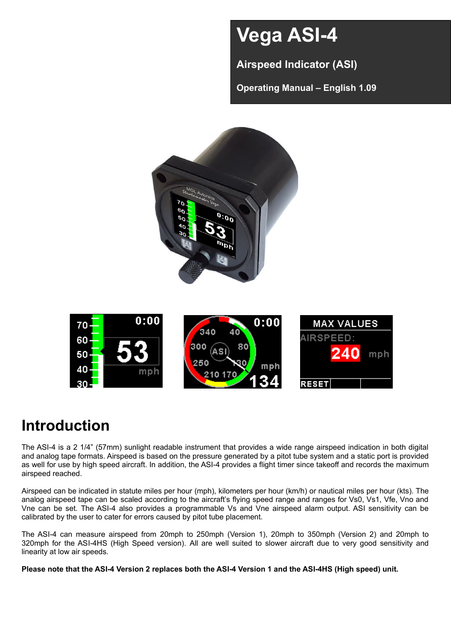# **Vega ASI-4**

**Airspeed Indicator (ASI)**

**Operating Manual – English 1.09**



# **Introduction**

The ASI-4 is a 2 1/4" (57mm) sunlight readable instrument that provides a wide range airspeed indication in both digital and analog tape formats. Airspeed is based on the pressure generated by a pitot tube system and a static port is provided as well for use by high speed aircraft. In addition, the ASI-4 provides a flight timer since takeoff and records the maximum airspeed reached.

Airspeed can be indicated in statute miles per hour (mph), kilometers per hour (km/h) or nautical miles per hour (kts). The analog airspeed tape can be scaled according to the aircraft's flying speed range and ranges for Vs0, Vs1, Vfe, Vno and Vne can be set. The ASI-4 also provides a programmable Vs and Vne airspeed alarm output. ASI sensitivity can be calibrated by the user to cater for errors caused by pitot tube placement.

The ASI-4 can measure airspeed from 20mph to 250mph (Version 1), 20mph to 350mph (Version 2) and 20mph to 320mph for the ASI-4HS (High Speed version). All are well suited to slower aircraft due to very good sensitivity and linearity at low air speeds.

**Please note that the ASI-4 Version 2 replaces both the ASI-4 Version 1 and the ASI-4HS (High speed) unit.**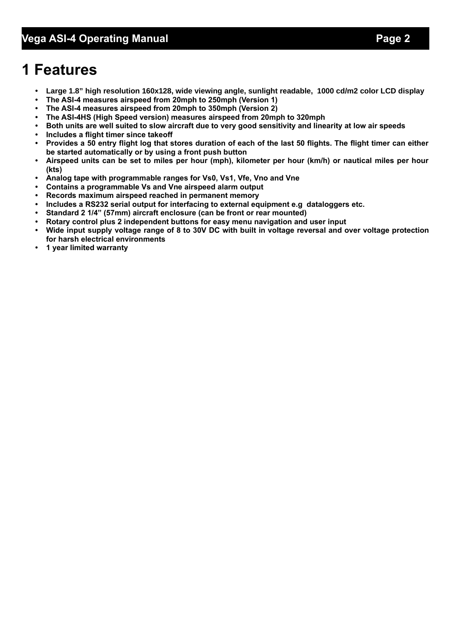# **1 Features**

- **• Large 1.8" high resolution 160x128, wide viewing angle, sunlight readable, 1000 cd/m2 color LCD display**
- **• The ASI-4 measures airspeed from 20mph to 250mph (Version 1)**
- **• The ASI-4 measures airspeed from 20mph to 350mph (Version 2)**
- **• The ASI-4HS (High Speed version) measures airspeed from 20mph to 320mph**
- **• Both units are well suited to slow aircraft due to very good sensitivity and linearity at low air speeds • Includes a flight timer since takeoff**
- **• Provides a 50 entry flight log that stores duration of each of the last 50 flights. The flight timer can either be started automatically or by using a front push button**
- **• Airspeed units can be set to miles per hour (mph), kilometer per hour (km/h) or nautical miles per hour (kts)**
- **• Analog tape with programmable ranges for Vs0, Vs1, Vfe, Vno and Vne**
- **• Contains a programmable Vs and Vne airspeed alarm output**
- **• Records maximum airspeed reached in permanent memory**
- **• Includes a RS232 serial output for interfacing to external equipment e.g dataloggers etc.**
- **• Standard 2 1/4" (57mm) aircraft enclosure (can be front or rear mounted)**
- **• Rotary control plus 2 independent buttons for easy menu navigation and user input**
- **• Wide input supply voltage range of 8 to 30V DC with built in voltage reversal and over voltage protection for harsh electrical environments**
- **• 1 year limited warranty**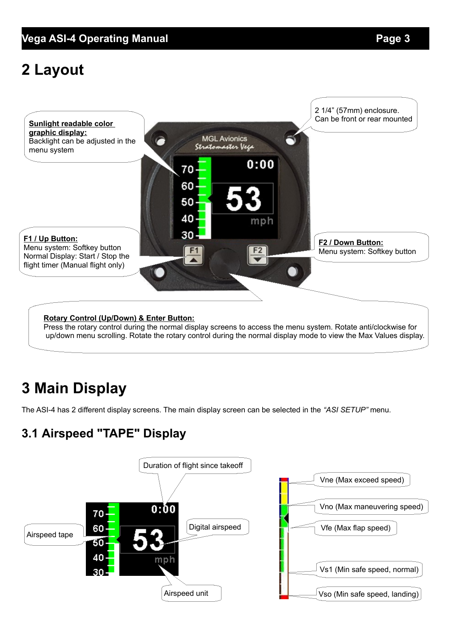## **Vega ASI-4 Operating Manual** *Page 3*

# **2 Layout**



# **3 Main Display**

The ASI-4 has 2 different display screens. The main display screen can be selected in the *"ASI SETUP"* menu.

## **3.1 Airspeed "TAPE" Display**

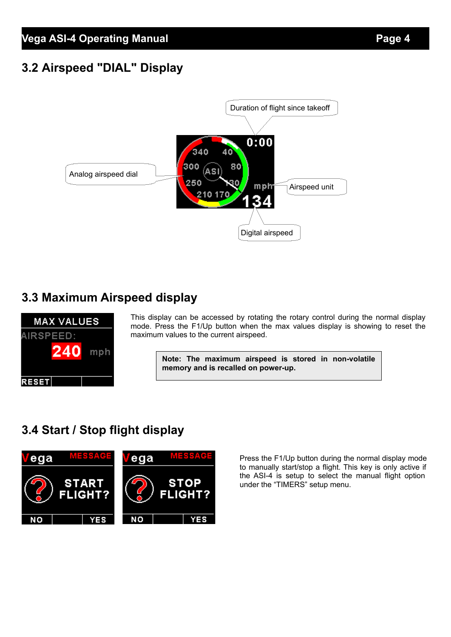## **3.2 Airspeed "DIAL" Display**



## **3.3 Maximum Airspeed display**



This display can be accessed by rotating the rotary control during the normal display mode. Press the F1/Up button when the max values display is showing to reset the maximum values to the current airspeed.

**Note: The maximum airspeed is stored in non-volatile memory and is recalled on power-up.**

## **3.4 Start / Stop flight display**



Press the F1/Up button during the normal display mode to manually start/stop a flight. This key is only active if the ASI-4 is setup to select the manual flight option under the "TIMERS" setup menu.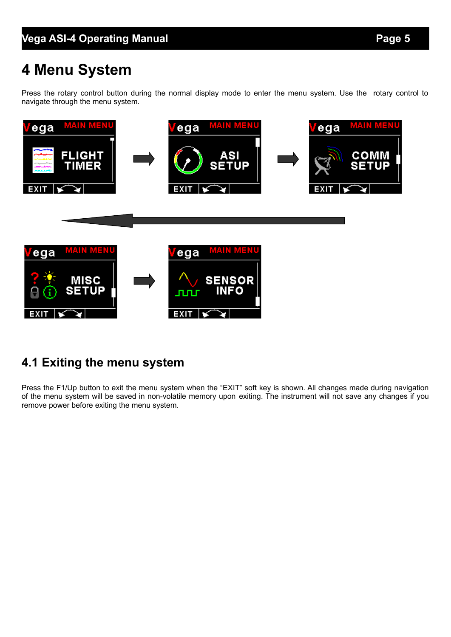# **4 Menu System**

Press the rotary control button during the normal display mode to enter the menu system. Use the rotary control to navigate through the menu system.



## **4.1 Exiting the menu system**

Press the F1/Up button to exit the menu system when the "EXIT" soft key is shown. All changes made during navigation of the menu system will be saved in non-volatile memory upon exiting. The instrument will not save any changes if you remove power before exiting the menu system.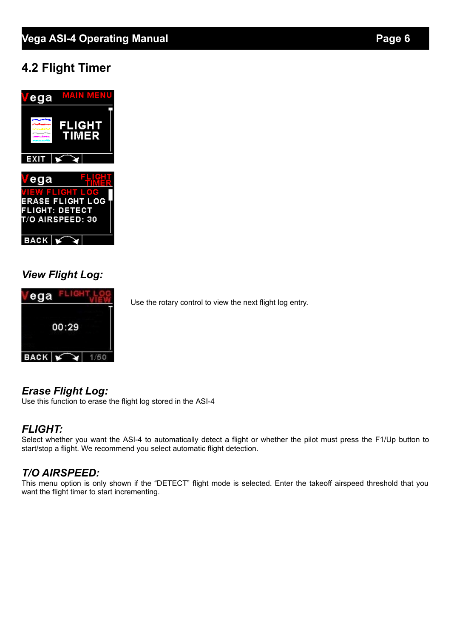## **4.2 Flight Timer**



## *View Flight Log:*



Use the rotary control to view the next flight log entry.

## *Erase Flight Log:*

Use this function to erase the flight log stored in the ASI-4

## *FLIGHT:*

Select whether you want the ASI-4 to automatically detect a flight or whether the pilot must press the F1/Up button to start/stop a flight. We recommend you select automatic flight detection.

## *T/O AIRSPEED:*

This menu option is only shown if the "DETECT" flight mode is selected. Enter the takeoff airspeed threshold that you want the flight timer to start incrementing.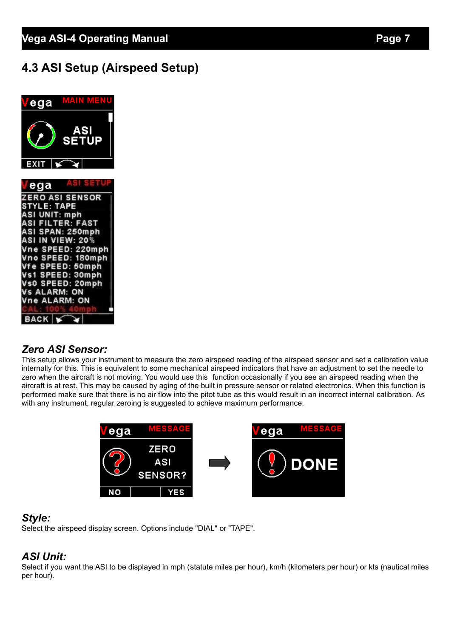## **4.3 ASI Setup (Airspeed Setup)**



### *Zero ASI Sensor:*

This setup allows your instrument to measure the zero airspeed reading of the airspeed sensor and set a calibration value internally for this. This is equivalent to some mechanical airspeed indicators that have an adjustment to set the needle to zero when the aircraft is not moving. You would use this function occasionally if you see an airspeed reading when the aircraft is at rest. This may be caused by aging of the built in pressure sensor or related electronics. When this function is performed make sure that there is no air flow into the pitot tube as this would result in an incorrect internal calibration. As with any instrument, regular zeroing is suggested to achieve maximum performance.



#### *Style:*

Select the airspeed display screen. Options include "DIAL" or "TAPE".

### *ASI Unit:*

Select if you want the ASI to be displayed in mph (statute miles per hour), km/h (kilometers per hour) or kts (nautical miles per hour).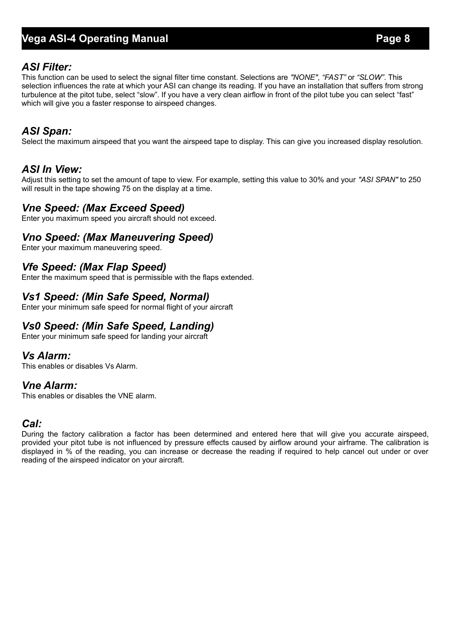## **Vega ASI-4 Operating Manual Page 8**

#### *ASI Filter:*

This function can be used to select the signal filter time constant. Selections are *"NONE"*, *"FAST"* or *"SLOW"*. This selection influences the rate at which your ASI can change its reading. If you have an installation that suffers from strong turbulence at the pitot tube, select "slow". If you have a very clean airflow in front of the pilot tube you can select "fast" which will give you a faster response to airspeed changes.

### *ASI Span:*

Select the maximum airspeed that you want the airspeed tape to display. This can give you increased display resolution.

### *ASI In View:*

Adjust this setting to set the amount of tape to view. For example, setting this value to 30% and your *"ASI SPAN"* to 250 will result in the tape showing 75 on the display at a time.

### *Vne Speed: (Max Exceed Speed)*

Enter you maximum speed you aircraft should not exceed.

#### *Vno Speed: (Max Maneuvering Speed)*

Enter your maximum maneuvering speed.

### *Vfe Speed: (Max Flap Speed)*

Enter the maximum speed that is permissible with the flaps extended.

### *Vs1 Speed: (Min Safe Speed, Normal)*

Enter your minimum safe speed for normal flight of your aircraft

### *Vs0 Speed: (Min Safe Speed, Landing)*

Enter your minimum safe speed for landing your aircraft

#### *Vs Alarm:*

This enables or disables Vs Alarm.

#### *Vne Alarm:*

This enables or disables the VNE alarm.

### *Cal:*

During the factory calibration a factor has been determined and entered here that will give you accurate airspeed, provided your pitot tube is not influenced by pressure effects caused by airflow around your airframe. The calibration is displayed in % of the reading, you can increase or decrease the reading if required to help cancel out under or over reading of the airspeed indicator on your aircraft.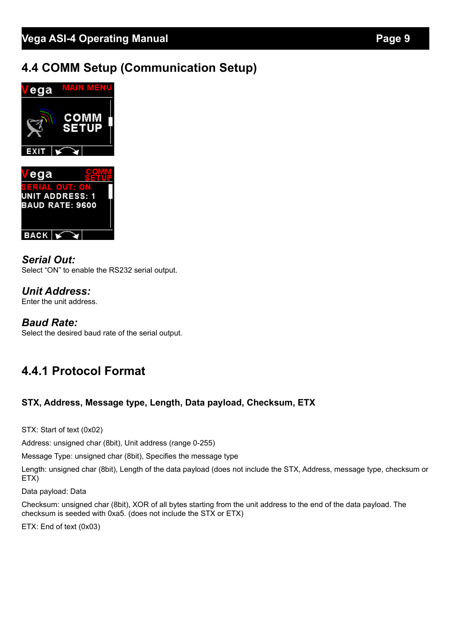## **4.4 COMM Setup (Communication Setup)**



*Serial Out:* Select "ON" to enable the RS232 serial output.

*Unit Address:* Enter the unit address.

**BACK**  $\sqrt{ }$ 

### *Baud Rate:*

Select the desired baud rate of the serial output.

## **4.4.1 Protocol Format**

#### **STX, Address, Message type, Length, Data payload, Checksum, ETX**

STX: Start of text (0x02)

Address: unsigned char (8bit), Unit address (range 0-255)

Message Type: unsigned char (8bit), Specifies the message type

Length: unsigned char (8bit), Length of the data payload (does not include the STX, Address, message type, checksum or ETX)

Data payload: Data

Checksum: unsigned char (8bit), XOR of all bytes starting from the unit address to the end of the data payload. The checksum is seeded with 0xa5. (does not include the STX or ETX)

ETX: End of text (0x03)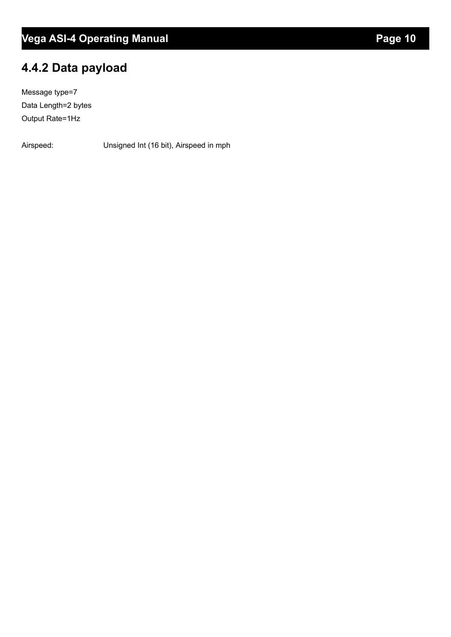## **4.4.2 Data payload**

Message type=7 Data Length=2 bytes Output Rate=1Hz

Airspeed: Unsigned Int (16 bit), Airspeed in mph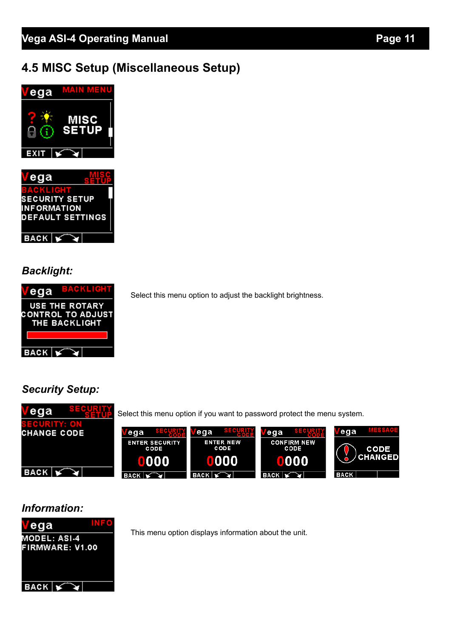## **4.5 MISC Setup (Miscellaneous Setup)**





## *Backlight:*



Select this menu option to adjust the backlight brightness.

## *Security Setup:*



### *Information:*



This menu option displays information about the unit.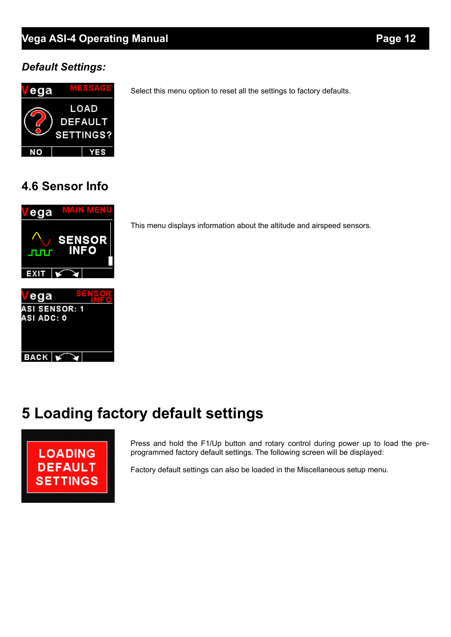## **Vega ASI-4 Operating Manual** *Page 12*

## *Default Settings:*



Select this menu option to reset all the settings to factory defaults.

## **4.6 Sensor Info**



This menu displays information about the altitude and airspeed sensors.

# **5 Loading factory default settings**



Press and hold the F1/Up button and rotary control during power up to load the preprogrammed factory default settings. The following screen will be displayed:

Factory default settings can also be loaded in the Miscellaneous setup menu.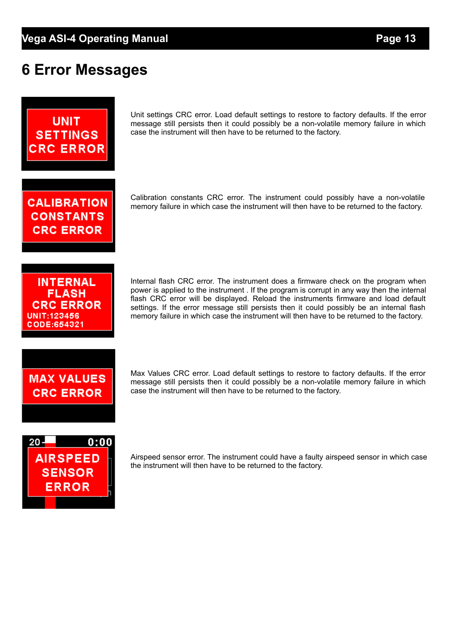# **6 Error Messages**



Unit settings CRC error. Load default settings to restore to factory defaults. If the error message still persists then it could possibly be a non-volatile memory failure in which case the instrument will then have to be returned to the factory.

**CALIBRATION CONSTANTS CRC ERROR** 

Calibration constants CRC error. The instrument could possibly have a non-volatile memory failure in which case the instrument will then have to be returned to the factory.

**INTERNAL FLASH CRC ERROR** UNIT:123456 CODE:654321

Internal flash CRC error. The instrument does a firmware check on the program when power is applied to the instrument . If the program is corrupt in any way then the internal flash CRC error will be displayed. Reload the instruments firmware and load default settings. If the error message still persists then it could possibly be an internal flash memory failure in which case the instrument will then have to be returned to the factory.

# **MAX VALUES CRC ERROR**

Max Values CRC error. Load default settings to restore to factory defaults. If the error message still persists then it could possibly be a non-volatile memory failure in which case the instrument will then have to be returned to the factory.



Airspeed sensor error. The instrument could have a faulty airspeed sensor in which case the instrument will then have to be returned to the factory.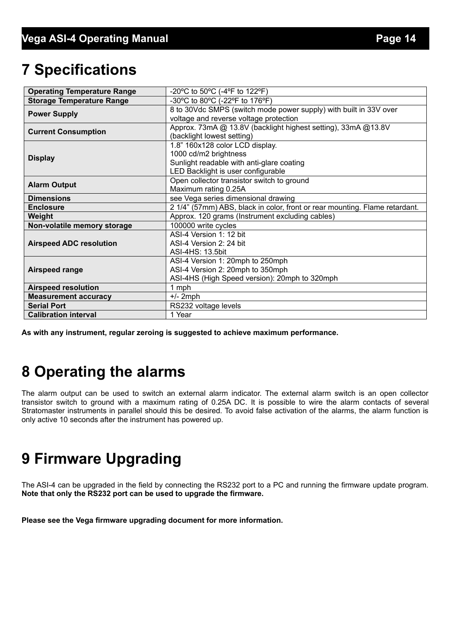# **7 Specifications**

| <b>Operating Temperature Range</b> | -20°C to 50°C (-4°F to 122°F)                                               |  |  |
|------------------------------------|-----------------------------------------------------------------------------|--|--|
| <b>Storage Temperature Range</b>   | -30°C to 80°C (-22°F to 176°F)                                              |  |  |
| <b>Power Supply</b>                | 8 to 30Vdc SMPS (switch mode power supply) with built in 33V over           |  |  |
|                                    | voltage and reverse voltage protection                                      |  |  |
| <b>Current Consumption</b>         | Approx. 73mA @ 13.8V (backlight highest setting), 33mA @ 13.8V              |  |  |
|                                    | (backlight lowest setting)                                                  |  |  |
|                                    | 1.8" 160x128 color LCD display.                                             |  |  |
| <b>Display</b>                     | 1000 cd/m2 brightness                                                       |  |  |
|                                    | Sunlight readable with anti-glare coating                                   |  |  |
|                                    | LED Backlight is user configurable                                          |  |  |
| <b>Alarm Output</b>                | Open collector transistor switch to ground                                  |  |  |
|                                    | Maximum rating 0.25A                                                        |  |  |
| <b>Dimensions</b>                  | see Vega series dimensional drawing                                         |  |  |
| <b>Enclosure</b>                   | 2 1/4" (57mm) ABS, black in color, front or rear mounting. Flame retardant. |  |  |
| Weight                             | Approx. 120 grams (Instrument excluding cables)                             |  |  |
| Non-volatile memory storage        | 100000 write cycles                                                         |  |  |
|                                    | ASI-4 Version 1: 12 bit                                                     |  |  |
| <b>Airspeed ADC resolution</b>     | ASI-4 Version 2: 24 bit                                                     |  |  |
|                                    | ASI-4HS: 13.5bit                                                            |  |  |
| Airspeed range                     | ASI-4 Version 1: 20mph to 250mph                                            |  |  |
|                                    | ASI-4 Version 2: 20mph to 350mph                                            |  |  |
|                                    | ASI-4HS (High Speed version): 20mph to 320mph                               |  |  |
| <b>Airspeed resolution</b>         | 1 mph                                                                       |  |  |
| <b>Measurement accuracy</b>        | $+/- 2$ mph                                                                 |  |  |
| <b>Serial Port</b>                 | RS232 voltage levels                                                        |  |  |
| <b>Calibration interval</b>        | 1 Year                                                                      |  |  |

**As with any instrument, regular zeroing is suggested to achieve maximum performance.**

# **8 Operating the alarms**

The alarm output can be used to switch an external alarm indicator. The external alarm switch is an open collector transistor switch to ground with a maximum rating of 0.25A DC. It is possible to wire the alarm contacts of several Stratomaster instruments in parallel should this be desired. To avoid false activation of the alarms, the alarm function is only active 10 seconds after the instrument has powered up.

# **9 Firmware Upgrading**

The ASI-4 can be upgraded in the field by connecting the RS232 port to a PC and running the firmware update program. **Note that only the RS232 port can be used to upgrade the firmware.**

**Please see the Vega firmware upgrading document for more information.**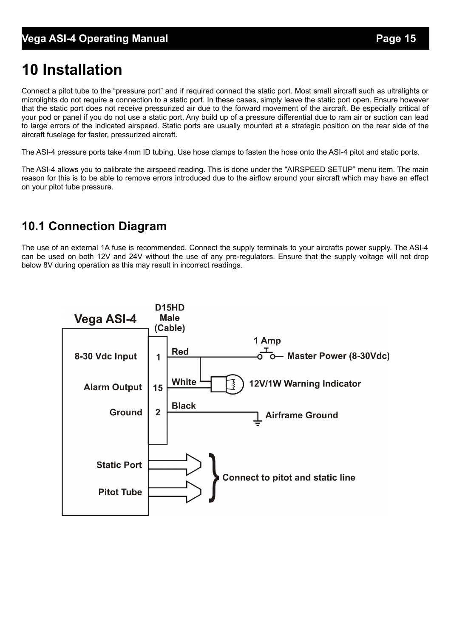# **10 Installation**

Connect a pitot tube to the "pressure port" and if required connect the static port. Most small aircraft such as ultralights or microlights do not require a connection to a static port. In these cases, simply leave the static port open. Ensure however that the static port does not receive pressurized air due to the forward movement of the aircraft. Be especially critical of your pod or panel if you do not use a static port. Any build up of a pressure differential due to ram air or suction can lead to large errors of the indicated airspeed. Static ports are usually mounted at a strategic position on the rear side of the aircraft fuselage for faster, pressurized aircraft.

The ASI-4 pressure ports take 4mm ID tubing. Use hose clamps to fasten the hose onto the ASI-4 pitot and static ports.

The ASI-4 allows you to calibrate the airspeed reading. This is done under the "AIRSPEED SETUP" menu item. The main reason for this is to be able to remove errors introduced due to the airflow around your aircraft which may have an effect on your pitot tube pressure.

## **10.1 Connection Diagram**

The use of an external 1A fuse is recommended. Connect the supply terminals to your aircrafts power supply. The ASI-4 can be used on both 12V and 24V without the use of any pre-regulators. Ensure that the supply voltage will not drop below 8V during operation as this may result in incorrect readings.

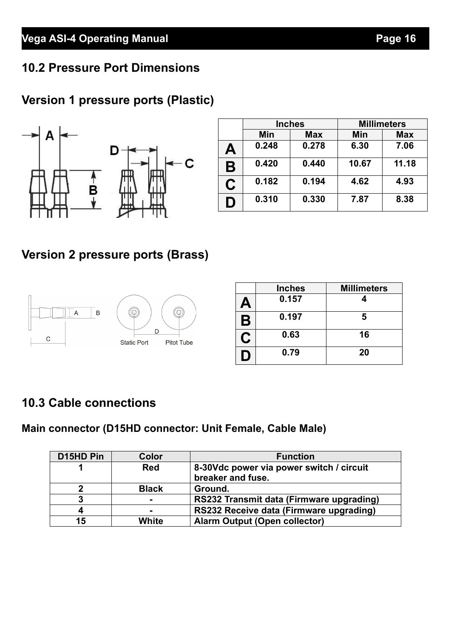## **10.2 Pressure Port Dimensions**

## **Version 1 pressure ports (Plastic)**



|   | <b>Inches</b> |            | <b>Millimeters</b> |            |
|---|---------------|------------|--------------------|------------|
|   | Min           | <b>Max</b> | Min                | <b>Max</b> |
| Α | 0.248         | 0.278      | 6.30               | 7.06       |
| B | 0.420         | 0.440      | 10.67              | 11.18      |
| C | 0.182         | 0.194      | 4.62               | 4.93       |
| D | 0.310         | 0.330      | 7.87               | 8.38       |

## **Version 2 pressure ports (Brass)**



|    | <b>Inches</b> | <b>Millimeters</b> |
|----|---------------|--------------------|
| А  | 0.157         |                    |
| Β  | 0.197         | 5                  |
| C. | 0.63          | 16                 |
| D  | 0.79          | 20                 |

## **10.3 Cable connections**

## **Main connector (D15HD connector: Unit Female, Cable Male)**

| D15HD Pin   | Color          | <b>Function</b>                                               |
|-------------|----------------|---------------------------------------------------------------|
|             | <b>Red</b>     | 8-30Vdc power via power switch / circuit<br>breaker and fuse. |
| $\mathbf 2$ | <b>Black</b>   | Ground.                                                       |
| 3           | $\blacksquare$ | RS232 Transmit data (Firmware upgrading)                      |
| 4           | $\blacksquare$ | RS232 Receive data (Firmware upgrading)                       |
| 15          | White          | <b>Alarm Output (Open collector)</b>                          |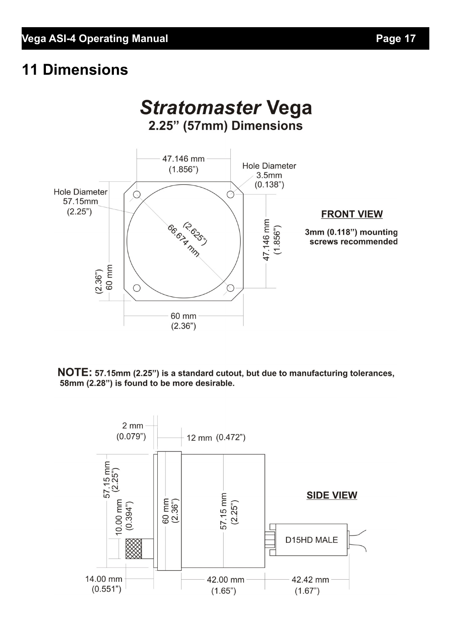# **11 Dimensions**



NOTE: 57.15mm (2.25") is a standard cutout, but due to manufacturing tolerances, 58mm (2.28") is found to be more desirable.

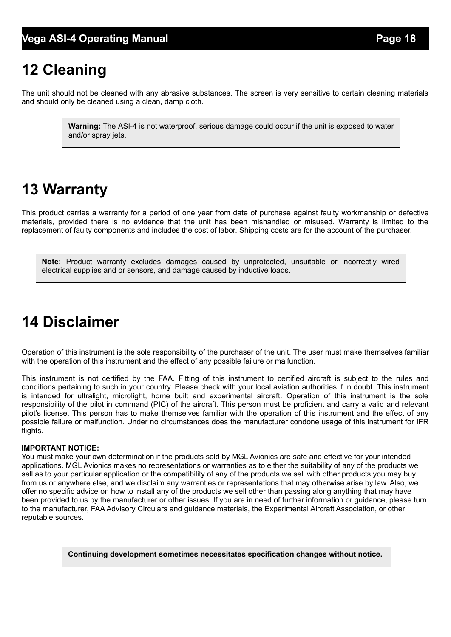# **12 Cleaning**

The unit should not be cleaned with any abrasive substances. The screen is very sensitive to certain cleaning materials and should only be cleaned using a clean, damp cloth.

> **Warning:** The ASI-4 is not waterproof, serious damage could occur if the unit is exposed to water and/or spray jets.

# **13 Warranty**

This product carries a warranty for a period of one year from date of purchase against faulty workmanship or defective materials, provided there is no evidence that the unit has been mishandled or misused. Warranty is limited to the replacement of faulty components and includes the cost of labor. Shipping costs are for the account of the purchaser.

**Note:** Product warranty excludes damages caused by unprotected, unsuitable or incorrectly wired electrical supplies and or sensors, and damage caused by inductive loads.

# **14 Disclaimer**

Operation of this instrument is the sole responsibility of the purchaser of the unit. The user must make themselves familiar with the operation of this instrument and the effect of any possible failure or malfunction.

This instrument is not certified by the FAA. Fitting of this instrument to certified aircraft is subject to the rules and conditions pertaining to such in your country. Please check with your local aviation authorities if in doubt. This instrument is intended for ultralight, microlight, home built and experimental aircraft. Operation of this instrument is the sole responsibility of the pilot in command (PIC) of the aircraft. This person must be proficient and carry a valid and relevant pilot's license. This person has to make themselves familiar with the operation of this instrument and the effect of any possible failure or malfunction. Under no circumstances does the manufacturer condone usage of this instrument for IFR flights.

#### **IMPORTANT NOTICE:**

You must make your own determination if the products sold by MGL Avionics are safe and effective for your intended applications. MGL Avionics makes no representations or warranties as to either the suitability of any of the products we sell as to your particular application or the compatibility of any of the products we sell with other products you may buy from us or anywhere else, and we disclaim any warranties or representations that may otherwise arise by law. Also, we offer no specific advice on how to install any of the products we sell other than passing along anything that may have been provided to us by the manufacturer or other issues. If you are in need of further information or guidance, please turn to the manufacturer, FAA Advisory Circulars and guidance materials, the Experimental Aircraft Association, or other reputable sources.

**Continuing development sometimes necessitates specification changes without notice.**